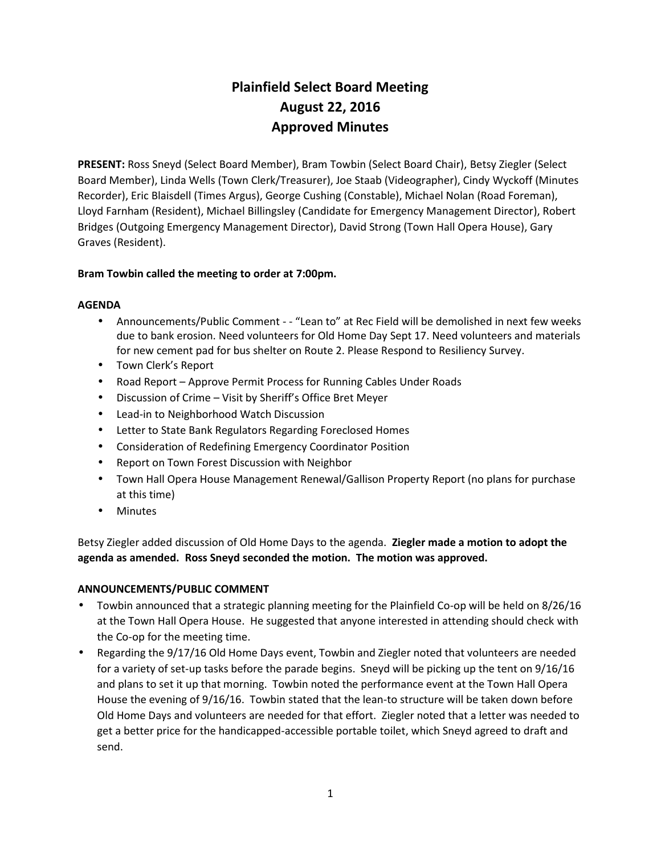# **Plainfield Select Board Meeting August 22, 2016 Approved Minutes**

**PRESENT:** Ross Sneyd (Select Board Member), Bram Towbin (Select Board Chair), Betsy Ziegler (Select Board Member), Linda Wells (Town Clerk/Treasurer), Joe Staab (Videographer), Cindy Wyckoff (Minutes Recorder), Eric Blaisdell (Times Argus), George Cushing (Constable), Michael Nolan (Road Foreman), Lloyd Farnham (Resident), Michael Billingsley (Candidate for Emergency Management Director), Robert Bridges (Outgoing Emergency Management Director), David Strong (Town Hall Opera House), Gary Graves (Resident).

# **Bram Towbin called the meeting to order at 7:00pm.**

## **AGENDA**

- Announcements/Public Comment - "Lean to" at Rec Field will be demolished in next few weeks due to bank erosion. Need volunteers for Old Home Day Sept 17. Need volunteers and materials for new cement pad for bus shelter on Route 2. Please Respond to Resiliency Survey.
- Town Clerk's Report
- Road Report Approve Permit Process for Running Cables Under Roads
- Discussion of Crime Visit by Sheriff's Office Bret Meyer
- Lead-in to Neighborhood Watch Discussion
- Letter to State Bank Regulators Regarding Foreclosed Homes
- Consideration of Redefining Emergency Coordinator Position
- Report on Town Forest Discussion with Neighbor
- Town Hall Opera House Management Renewal/Gallison Property Report (no plans for purchase at this time)
- Minutes

Betsy Ziegler added discussion of Old Home Days to the agenda. **Ziegler made a motion to adopt the agenda as amended. Ross Sneyd seconded the motion. The motion was approved.**

## **ANNOUNCEMENTS/PUBLIC COMMENT**

- Towbin announced that a strategic planning meeting for the Plainfield Co-op will be held on 8/26/16 at the Town Hall Opera House. He suggested that anyone interested in attending should check with the Co-op for the meeting time.
- Regarding the 9/17/16 Old Home Days event, Towbin and Ziegler noted that volunteers are needed for a variety of set-up tasks before the parade begins. Sneyd will be picking up the tent on 9/16/16 and plans to set it up that morning. Towbin noted the performance event at the Town Hall Opera House the evening of 9/16/16. Towbin stated that the lean-to structure will be taken down before Old Home Days and volunteers are needed for that effort. Ziegler noted that a letter was needed to get a better price for the handicapped-accessible portable toilet, which Sneyd agreed to draft and send.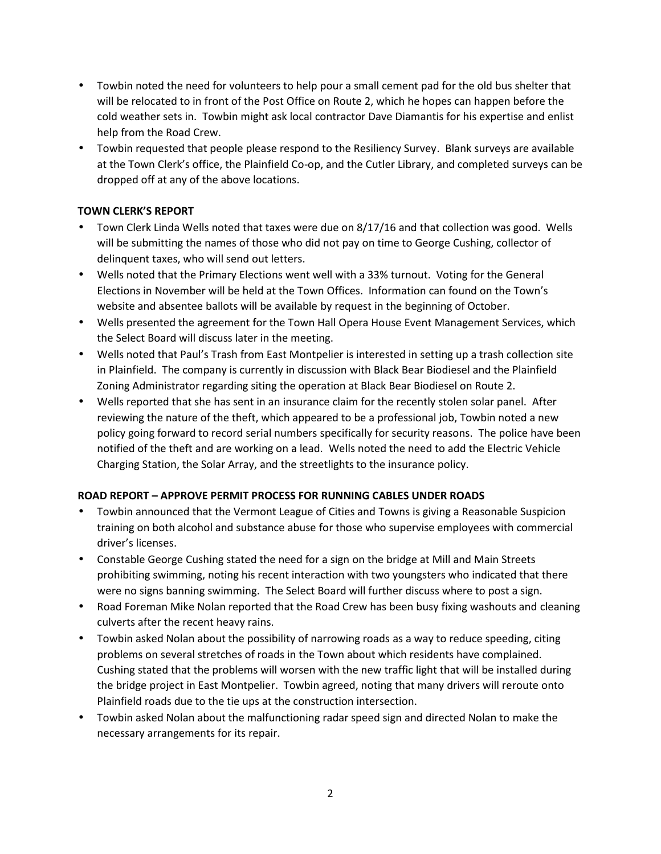- Towbin noted the need for volunteers to help pour a small cement pad for the old bus shelter that will be relocated to in front of the Post Office on Route 2, which he hopes can happen before the cold weather sets in. Towbin might ask local contractor Dave Diamantis for his expertise and enlist help from the Road Crew.
- Towbin requested that people please respond to the Resiliency Survey. Blank surveys are available at the Town Clerk's office, the Plainfield Co-op, and the Cutler Library, and completed surveys can be dropped off at any of the above locations.

# **TOWN CLERK'S REPORT**

- Town Clerk Linda Wells noted that taxes were due on 8/17/16 and that collection was good. Wells will be submitting the names of those who did not pay on time to George Cushing, collector of delinquent taxes, who will send out letters.
- Wells noted that the Primary Elections went well with a 33% turnout. Voting for the General Elections in November will be held at the Town Offices. Information can found on the Town's website and absentee ballots will be available by request in the beginning of October.
- Wells presented the agreement for the Town Hall Opera House Event Management Services, which the Select Board will discuss later in the meeting.
- Wells noted that Paul's Trash from East Montpelier is interested in setting up a trash collection site in Plainfield. The company is currently in discussion with Black Bear Biodiesel and the Plainfield Zoning Administrator regarding siting the operation at Black Bear Biodiesel on Route 2.
- Wells reported that she has sent in an insurance claim for the recently stolen solar panel. After reviewing the nature of the theft, which appeared to be a professional job, Towbin noted a new policy going forward to record serial numbers specifically for security reasons. The police have been notified of the theft and are working on a lead. Wells noted the need to add the Electric Vehicle Charging Station, the Solar Array, and the streetlights to the insurance policy.

# **ROAD REPORT – APPROVE PERMIT PROCESS FOR RUNNING CABLES UNDER ROADS**

- Towbin announced that the Vermont League of Cities and Towns is giving a Reasonable Suspicion training on both alcohol and substance abuse for those who supervise employees with commercial driver's licenses.
- Constable George Cushing stated the need for a sign on the bridge at Mill and Main Streets prohibiting swimming, noting his recent interaction with two youngsters who indicated that there were no signs banning swimming. The Select Board will further discuss where to post a sign.
- Road Foreman Mike Nolan reported that the Road Crew has been busy fixing washouts and cleaning culverts after the recent heavy rains.
- Towbin asked Nolan about the possibility of narrowing roads as a way to reduce speeding, citing problems on several stretches of roads in the Town about which residents have complained. Cushing stated that the problems will worsen with the new traffic light that will be installed during the bridge project in East Montpelier. Towbin agreed, noting that many drivers will reroute onto Plainfield roads due to the tie ups at the construction intersection.
- Towbin asked Nolan about the malfunctioning radar speed sign and directed Nolan to make the necessary arrangements for its repair.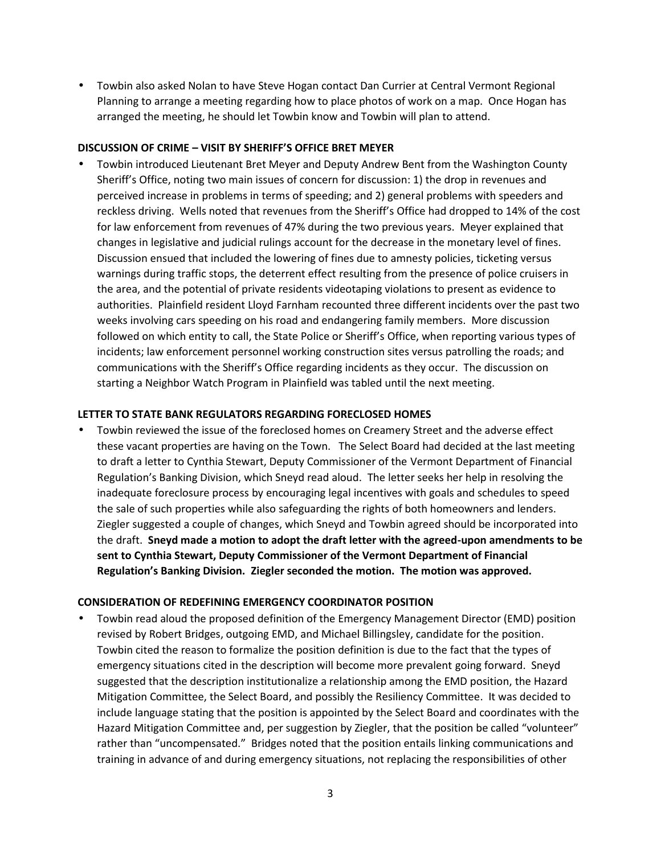Towbin also asked Nolan to have Steve Hogan contact Dan Currier at Central Vermont Regional Planning to arrange a meeting regarding how to place photos of work on a map. Once Hogan has arranged the meeting, he should let Towbin know and Towbin will plan to attend.

#### **DISCUSSION OF CRIME – VISIT BY SHERIFF'S OFFICE BRET MEYER**

 Towbin introduced Lieutenant Bret Meyer and Deputy Andrew Bent from the Washington County Sheriff's Office, noting two main issues of concern for discussion: 1) the drop in revenues and perceived increase in problems in terms of speeding; and 2) general problems with speeders and reckless driving. Wells noted that revenues from the Sheriff's Office had dropped to 14% of the cost for law enforcement from revenues of 47% during the two previous years. Meyer explained that changes in legislative and judicial rulings account for the decrease in the monetary level of fines. Discussion ensued that included the lowering of fines due to amnesty policies, ticketing versus warnings during traffic stops, the deterrent effect resulting from the presence of police cruisers in the area, and the potential of private residents videotaping violations to present as evidence to authorities. Plainfield resident Lloyd Farnham recounted three different incidents over the past two weeks involving cars speeding on his road and endangering family members. More discussion followed on which entity to call, the State Police or Sheriff's Office, when reporting various types of incidents; law enforcement personnel working construction sites versus patrolling the roads; and communications with the Sheriff's Office regarding incidents as they occur. The discussion on starting a Neighbor Watch Program in Plainfield was tabled until the next meeting.

## **LETTER TO STATE BANK REGULATORS REGARDING FORECLOSED HOMES**

 Towbin reviewed the issue of the foreclosed homes on Creamery Street and the adverse effect these vacant properties are having on the Town. The Select Board had decided at the last meeting to draft a letter to Cynthia Stewart, Deputy Commissioner of the Vermont Department of Financial Regulation's Banking Division, which Sneyd read aloud. The letter seeks her help in resolving the inadequate foreclosure process by encouraging legal incentives with goals and schedules to speed the sale of such properties while also safeguarding the rights of both homeowners and lenders. Ziegler suggested a couple of changes, which Sneyd and Towbin agreed should be incorporated into the draft. **Sneyd made a motion to adopt the draft letter with the agreed-upon amendments to be sent to Cynthia Stewart, Deputy Commissioner of the Vermont Department of Financial Regulation's Banking Division. Ziegler seconded the motion. The motion was approved.**

## **CONSIDERATION OF REDEFINING EMERGENCY COORDINATOR POSITION**

 Towbin read aloud the proposed definition of the Emergency Management Director (EMD) position revised by Robert Bridges, outgoing EMD, and Michael Billingsley, candidate for the position. Towbin cited the reason to formalize the position definition is due to the fact that the types of emergency situations cited in the description will become more prevalent going forward. Sneyd suggested that the description institutionalize a relationship among the EMD position, the Hazard Mitigation Committee, the Select Board, and possibly the Resiliency Committee. It was decided to include language stating that the position is appointed by the Select Board and coordinates with the Hazard Mitigation Committee and, per suggestion by Ziegler, that the position be called "volunteer" rather than "uncompensated." Bridges noted that the position entails linking communications and training in advance of and during emergency situations, not replacing the responsibilities of other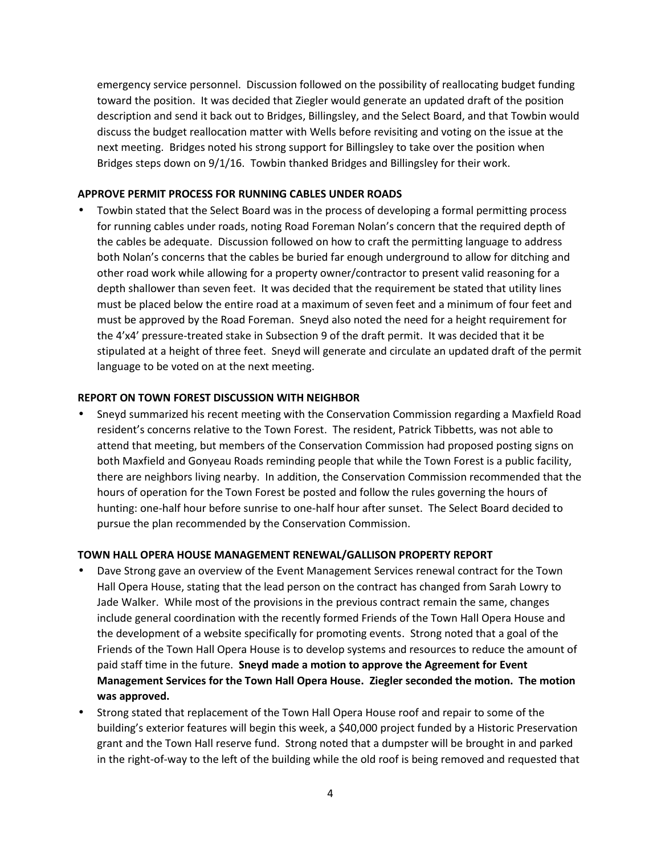emergency service personnel. Discussion followed on the possibility of reallocating budget funding toward the position. It was decided that Ziegler would generate an updated draft of the position description and send it back out to Bridges, Billingsley, and the Select Board, and that Towbin would discuss the budget reallocation matter with Wells before revisiting and voting on the issue at the next meeting. Bridges noted his strong support for Billingsley to take over the position when Bridges steps down on 9/1/16. Towbin thanked Bridges and Billingsley for their work.

#### **APPROVE PERMIT PROCESS FOR RUNNING CABLES UNDER ROADS**

 Towbin stated that the Select Board was in the process of developing a formal permitting process for running cables under roads, noting Road Foreman Nolan's concern that the required depth of the cables be adequate. Discussion followed on how to craft the permitting language to address both Nolan's concerns that the cables be buried far enough underground to allow for ditching and other road work while allowing for a property owner/contractor to present valid reasoning for a depth shallower than seven feet. It was decided that the requirement be stated that utility lines must be placed below the entire road at a maximum of seven feet and a minimum of four feet and must be approved by the Road Foreman. Sneyd also noted the need for a height requirement for the 4'x4' pressure-treated stake in Subsection 9 of the draft permit. It was decided that it be stipulated at a height of three feet. Sneyd will generate and circulate an updated draft of the permit language to be voted on at the next meeting.

#### **REPORT ON TOWN FOREST DISCUSSION WITH NEIGHBOR**

 Sneyd summarized his recent meeting with the Conservation Commission regarding a Maxfield Road resident's concerns relative to the Town Forest. The resident, Patrick Tibbetts, was not able to attend that meeting, but members of the Conservation Commission had proposed posting signs on both Maxfield and Gonyeau Roads reminding people that while the Town Forest is a public facility, there are neighbors living nearby. In addition, the Conservation Commission recommended that the hours of operation for the Town Forest be posted and follow the rules governing the hours of hunting: one-half hour before sunrise to one-half hour after sunset. The Select Board decided to pursue the plan recommended by the Conservation Commission.

#### **TOWN HALL OPERA HOUSE MANAGEMENT RENEWAL/GALLISON PROPERTY REPORT**

- Dave Strong gave an overview of the Event Management Services renewal contract for the Town Hall Opera House, stating that the lead person on the contract has changed from Sarah Lowry to Jade Walker. While most of the provisions in the previous contract remain the same, changes include general coordination with the recently formed Friends of the Town Hall Opera House and the development of a website specifically for promoting events. Strong noted that a goal of the Friends of the Town Hall Opera House is to develop systems and resources to reduce the amount of paid staff time in the future. **Sneyd made a motion to approve the Agreement for Event Management Services for the Town Hall Opera House. Ziegler seconded the motion. The motion was approved.**
- Strong stated that replacement of the Town Hall Opera House roof and repair to some of the building's exterior features will begin this week, a \$40,000 project funded by a Historic Preservation grant and the Town Hall reserve fund. Strong noted that a dumpster will be brought in and parked in the right-of-way to the left of the building while the old roof is being removed and requested that